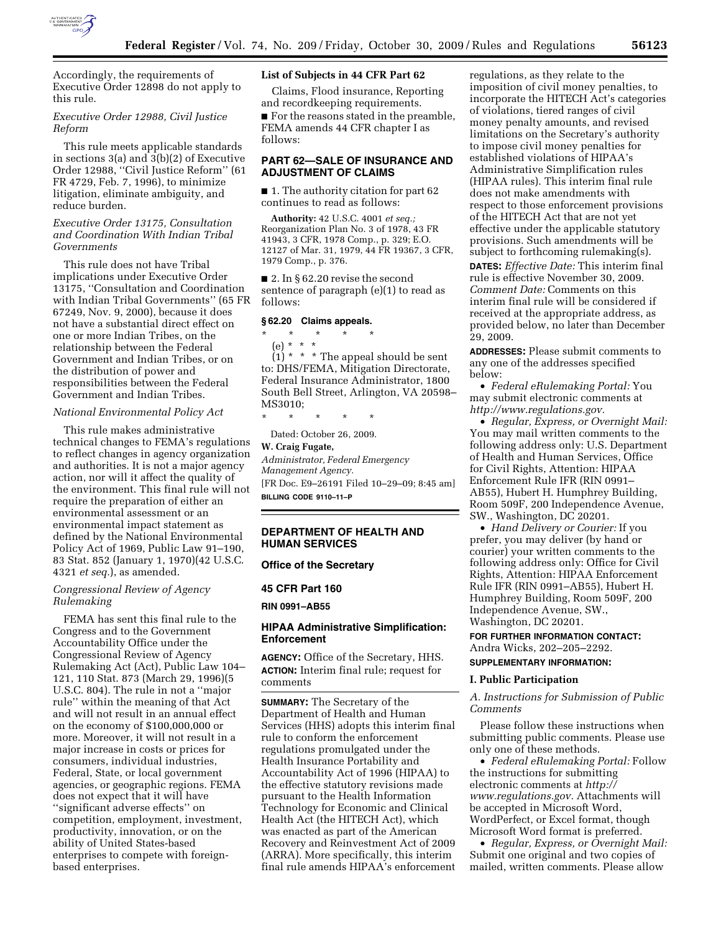

# *Executive Order 12988, Civil Justice Reform*

This rule meets applicable standards in sections 3(a) and 3(b)(2) of Executive Order 12988, ''Civil Justice Reform'' (61 FR 4729, Feb. 7, 1996), to minimize litigation, eliminate ambiguity, and reduce burden.

# *Executive Order 13175, Consultation and Coordination With Indian Tribal Governments*

This rule does not have Tribal implications under Executive Order 13175, ''Consultation and Coordination with Indian Tribal Governments'' (65 FR 67249, Nov. 9, 2000), because it does not have a substantial direct effect on one or more Indian Tribes, on the relationship between the Federal Government and Indian Tribes, or on the distribution of power and responsibilities between the Federal Government and Indian Tribes.

## *National Environmental Policy Act*

This rule makes administrative technical changes to FEMA's regulations to reflect changes in agency organization and authorities. It is not a major agency action, nor will it affect the quality of the environment. This final rule will not require the preparation of either an environmental assessment or an environmental impact statement as defined by the National Environmental Policy Act of 1969, Public Law 91–190, 83 Stat. 852 (January 1, 1970)(42 U.S.C. 4321 *et seq.*), as amended.

# *Congressional Review of Agency Rulemaking*

FEMA has sent this final rule to the Congress and to the Government Accountability Office under the Congressional Review of Agency Rulemaking Act (Act), Public Law 104– 121, 110 Stat. 873 (March 29, 1996)(5 U.S.C. 804). The rule in not a ''major rule'' within the meaning of that Act and will not result in an annual effect on the economy of \$100,000,000 or more. Moreover, it will not result in a major increase in costs or prices for consumers, individual industries, Federal, State, or local government agencies, or geographic regions. FEMA does not expect that it will have ''significant adverse effects'' on competition, employment, investment, productivity, innovation, or on the ability of United States-based enterprises to compete with foreignbased enterprises.

### **List of Subjects in 44 CFR Part 62**

Claims, Flood insurance, Reporting and recordkeeping requirements.

■ For the reasons stated in the preamble, FEMA amends 44 CFR chapter I as follows:

# **PART 62—SALE OF INSURANCE AND ADJUSTMENT OF CLAIMS**

■ 1. The authority citation for part 62 continues to read as follows:

**Authority:** 42 U.S.C. 4001 *et seq.;*  Reorganization Plan No. 3 of 1978, 43 FR 41943, 3 CFR, 1978 Comp., p. 329; E.O. 12127 of Mar. 31, 1979, 44 FR 19367, 3 CFR, 1979 Comp., p. 376.

■ 2. In § 62.20 revise the second sentence of paragraph (e)(1) to read as follows:

# **§ 62.20 Claims appeals.**

\* \* \* \* \* (e) \* \* \*

 $(1)$  \* \* \* The appeal should be sent to: DHS/FEMA, Mitigation Directorate, Federal Insurance Administrator, 1800 South Bell Street, Arlington, VA 20598– MS3010;

\* \* \* \* \*

Dated: October 26, 2009.

# **W. Craig Fugate,**  *Administrator, Federal Emergency Management Agency.*  [FR Doc. E9–26191 Filed 10–29–09; 8:45 am]

**BILLING CODE 9110–11–P** 

# **DEPARTMENT OF HEALTH AND HUMAN SERVICES**

## **Office of the Secretary**

#### **45 CFR Part 160**

**RIN 0991–AB55** 

### **HIPAA Administrative Simplification: Enforcement**

**AGENCY:** Office of the Secretary, HHS. **ACTION:** Interim final rule; request for comments

**SUMMARY:** The Secretary of the Department of Health and Human Services (HHS) adopts this interim final rule to conform the enforcement regulations promulgated under the Health Insurance Portability and Accountability Act of 1996 (HIPAA) to the effective statutory revisions made pursuant to the Health Information Technology for Economic and Clinical Health Act (the HITECH Act), which was enacted as part of the American Recovery and Reinvestment Act of 2009 (ARRA). More specifically, this interim final rule amends HIPAA's enforcement regulations, as they relate to the imposition of civil money penalties, to incorporate the HITECH Act's categories of violations, tiered ranges of civil money penalty amounts, and revised limitations on the Secretary's authority to impose civil money penalties for established violations of HIPAA's Administrative Simplification rules (HIPAA rules). This interim final rule does not make amendments with respect to those enforcement provisions of the HITECH Act that are not yet effective under the applicable statutory provisions. Such amendments will be subject to forthcoming rulemaking(s).

**DATES:** *Effective Date:* This interim final rule is effective November 30, 2009. *Comment Date:* Comments on this interim final rule will be considered if received at the appropriate address, as provided below, no later than December 29, 2009.

**ADDRESSES:** Please submit comments to any one of the addresses specified below:

• *Federal eRulemaking Portal:* You may submit electronic comments at *http://www.regulations.gov.* 

• *Regular, Express, or Overnight Mail:*  You may mail written comments to the following address only: U.S. Department of Health and Human Services, Office for Civil Rights, Attention: HIPAA Enforcement Rule IFR (RIN 0991– AB55), Hubert H. Humphrey Building, Room 509F, 200 Independence Avenue, SW., Washington, DC 20201.

• *Hand Delivery or Courier:* If you prefer, you may deliver (by hand or courier) your written comments to the following address only: Office for Civil Rights, Attention: HIPAA Enforcement Rule IFR (RIN 0991–AB55), Hubert H. Humphrey Building, Room 509F, 200 Independence Avenue, SW., Washington, DC 20201.

**FOR FURTHER INFORMATION CONTACT:**  Andra Wicks, 202–205–2292.

# **SUPPLEMENTARY INFORMATION:**

#### **I. Public Participation**

# *A. Instructions for Submission of Public Comments*

Please follow these instructions when submitting public comments. Please use only one of these methods.

• *Federal eRulemaking Portal:* Follow the instructions for submitting electronic comments at *http:// www.regulations.gov.* Attachments will be accepted in Microsoft Word, WordPerfect, or Excel format, though Microsoft Word format is preferred.

• *Regular, Express, or Overnight Mail:*  Submit one original and two copies of mailed, written comments. Please allow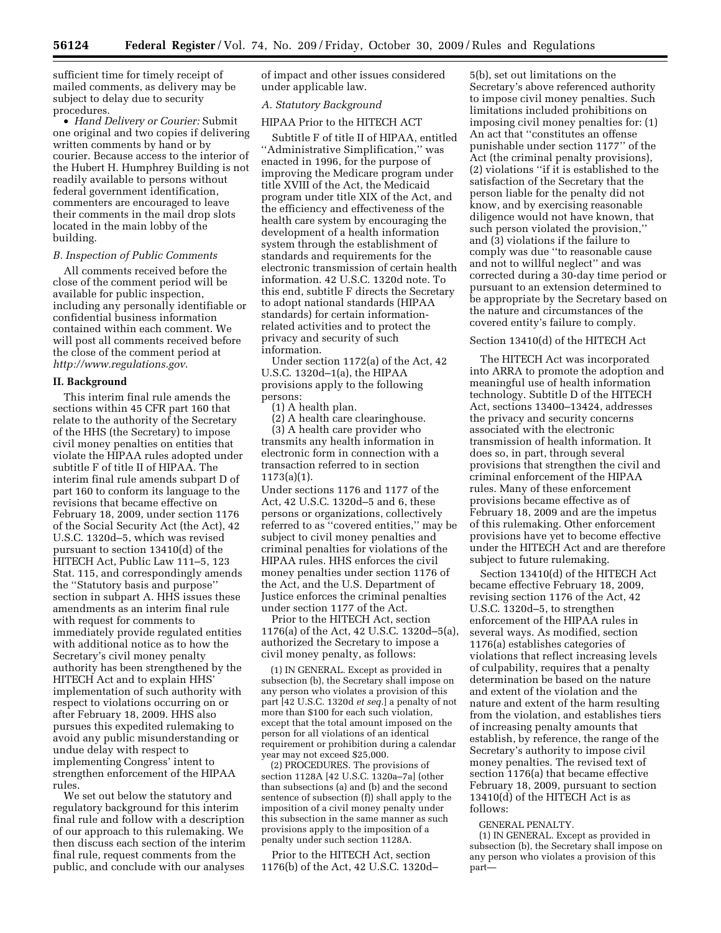sufficient time for timely receipt of mailed comments, as delivery may be subject to delay due to security procedures.

• *Hand Delivery or Courier:* Submit one original and two copies if delivering written comments by hand or by courier. Because access to the interior of the Hubert H. Humphrey Building is not readily available to persons without federal government identification, commenters are encouraged to leave their comments in the mail drop slots located in the main lobby of the building.

### *B. Inspection of Public Comments*

All comments received before the close of the comment period will be available for public inspection, including any personally identifiable or confidential business information contained within each comment. We will post all comments received before the close of the comment period at *http://www.regulations.gov*.

#### **II. Background**

This interim final rule amends the sections within 45 CFR part 160 that relate to the authority of the Secretary of the HHS (the Secretary) to impose civil money penalties on entities that violate the HIPAA rules adopted under subtitle F of title II of HIPAA. The interim final rule amends subpart D of part 160 to conform its language to the revisions that became effective on February 18, 2009, under section 1176 of the Social Security Act (the Act), 42 U.S.C. 1320d–5, which was revised pursuant to section 13410(d) of the HITECH Act, Public Law 111–5, 123 Stat. 115, and correspondingly amends the ''Statutory basis and purpose'' section in subpart A. HHS issues these amendments as an interim final rule with request for comments to immediately provide regulated entities with additional notice as to how the Secretary's civil money penalty authority has been strengthened by the HITECH Act and to explain HHS' implementation of such authority with respect to violations occurring on or after February 18, 2009. HHS also pursues this expedited rulemaking to avoid any public misunderstanding or undue delay with respect to implementing Congress' intent to strengthen enforcement of the HIPAA rules.

We set out below the statutory and regulatory background for this interim final rule and follow with a description of our approach to this rulemaking. We then discuss each section of the interim final rule, request comments from the public, and conclude with our analyses

of impact and other issues considered under applicable law.

#### *A. Statutory Background*

HIPAA Prior to the HITECH ACT

Subtitle F of title II of HIPAA, entitled ''Administrative Simplification,'' was enacted in 1996, for the purpose of improving the Medicare program under title XVIII of the Act, the Medicaid program under title XIX of the Act, and the efficiency and effectiveness of the health care system by encouraging the development of a health information system through the establishment of standards and requirements for the electronic transmission of certain health information. 42 U.S.C. 1320d note. To this end, subtitle F directs the Secretary to adopt national standards (HIPAA standards) for certain informationrelated activities and to protect the privacy and security of such information.

Under section 1172(a) of the Act, 42 U.S.C. 1320d–1(a), the HIPAA provisions apply to the following persons:

(1) A health plan.

(2) A health care clearinghouse.

(3) A health care provider who transmits any health information in electronic form in connection with a transaction referred to in section 1173(a)(1).

Under sections 1176 and 1177 of the Act, 42 U.S.C. 1320d–5 and 6, these persons or organizations, collectively referred to as ''covered entities,'' may be subject to civil money penalties and criminal penalties for violations of the HIPAA rules. HHS enforces the civil money penalties under section 1176 of the Act, and the U.S. Department of Justice enforces the criminal penalties under section 1177 of the Act.

Prior to the HITECH Act, section 1176(a) of the Act, 42 U.S.C. 1320d–5(a), authorized the Secretary to impose a civil money penalty, as follows:

(1) IN GENERAL. Except as provided in subsection (b), the Secretary shall impose on any person who violates a provision of this part [42 U.S.C. 1320d *et seq.*] a penalty of not more than \$100 for each such violation, except that the total amount imposed on the person for all violations of an identical requirement or prohibition during a calendar year may not exceed \$25,000.

(2) PROCEDURES. The provisions of section 1128A [42 U.S.C. 1320a–7a] (other than subsections (a) and (b) and the second sentence of subsection (f)) shall apply to the imposition of a civil money penalty under this subsection in the same manner as such provisions apply to the imposition of a penalty under such section 1128A.

Prior to the HITECH Act, section 1176(b) of the Act, 42 U.S.C. 1320d–

5(b), set out limitations on the Secretary's above referenced authority to impose civil money penalties. Such limitations included prohibitions on imposing civil money penalties for: (1) An act that ''constitutes an offense punishable under section 1177'' of the Act (the criminal penalty provisions), (2) violations ''if it is established to the satisfaction of the Secretary that the person liable for the penalty did not know, and by exercising reasonable diligence would not have known, that such person violated the provision,'' and (3) violations if the failure to comply was due ''to reasonable cause and not to willful neglect'' and was corrected during a 30-day time period or pursuant to an extension determined to be appropriate by the Secretary based on the nature and circumstances of the covered entity's failure to comply.

#### Section 13410(d) of the HITECH Act

The HITECH Act was incorporated into ARRA to promote the adoption and meaningful use of health information technology. Subtitle D of the HITECH Act, sections 13400–13424, addresses the privacy and security concerns associated with the electronic transmission of health information. It does so, in part, through several provisions that strengthen the civil and criminal enforcement of the HIPAA rules. Many of these enforcement provisions became effective as of February 18, 2009 and are the impetus of this rulemaking. Other enforcement provisions have yet to become effective under the HITECH Act and are therefore subject to future rulemaking.

Section 13410(d) of the HITECH Act became effective February 18, 2009, revising section 1176 of the Act, 42 U.S.C. 1320d–5, to strengthen enforcement of the HIPAA rules in several ways. As modified, section 1176(a) establishes categories of violations that reflect increasing levels of culpability, requires that a penalty determination be based on the nature and extent of the violation and the nature and extent of the harm resulting from the violation, and establishes tiers of increasing penalty amounts that establish, by reference, the range of the Secretary's authority to impose civil money penalties. The revised text of section 1176(a) that became effective February 18, 2009, pursuant to section 13410(d) of the HITECH Act is as follows:

#### GENERAL PENALTY.

(1) IN GENERAL. Except as provided in subsection (b), the Secretary shall impose on any person who violates a provision of this part—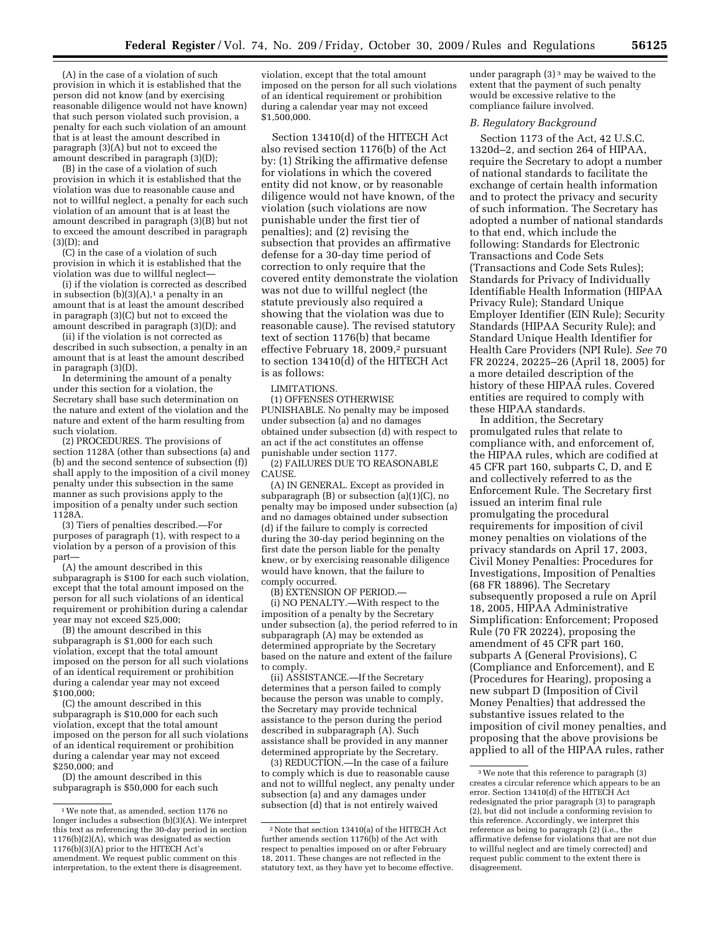(A) in the case of a violation of such provision in which it is established that the person did not know (and by exercising reasonable diligence would not have known) that such person violated such provision, a penalty for each such violation of an amount that is at least the amount described in paragraph (3)(A) but not to exceed the amount described in paragraph (3)(D);

(B) in the case of a violation of such provision in which it is established that the violation was due to reasonable cause and not to willful neglect, a penalty for each such violation of an amount that is at least the amount described in paragraph (3)(B) but not to exceed the amount described in paragraph (3)(D); and

(C) in the case of a violation of such provision in which it is established that the violation was due to willful neglect—

(i) if the violation is corrected as described in subsection  $(b)(3)(A)$ ,<sup>1</sup> a penalty in an amount that is at least the amount described in paragraph (3)(C) but not to exceed the amount described in paragraph (3)(D); and

(ii) if the violation is not corrected as described in such subsection, a penalty in an amount that is at least the amount described in paragraph (3)(D).

In determining the amount of a penalty under this section for a violation, the Secretary shall base such determination on the nature and extent of the violation and the nature and extent of the harm resulting from such violation.

(2) PROCEDURES. The provisions of section 1128A (other than subsections (a) and (b) and the second sentence of subsection (f)) shall apply to the imposition of a civil money penalty under this subsection in the same manner as such provisions apply to the imposition of a penalty under such section 1128A.

(3) Tiers of penalties described.—For purposes of paragraph (1), with respect to a violation by a person of a provision of this part—

(A) the amount described in this subparagraph is \$100 for each such violation, except that the total amount imposed on the person for all such violations of an identical requirement or prohibition during a calendar year may not exceed \$25,000;

(B) the amount described in this subparagraph is \$1,000 for each such violation, except that the total amount imposed on the person for all such violations of an identical requirement or prohibition during a calendar year may not exceed \$100,000;

(C) the amount described in this subparagraph is \$10,000 for each such violation, except that the total amount imposed on the person for all such violations of an identical requirement or prohibition during a calendar year may not exceed \$250,000; and

(D) the amount described in this subparagraph is \$50,000 for each such

violation, except that the total amount imposed on the person for all such violations of an identical requirement or prohibition during a calendar year may not exceed \$1,500,000.

Section 13410(d) of the HITECH Act also revised section 1176(b) of the Act by: (1) Striking the affirmative defense for violations in which the covered entity did not know, or by reasonable diligence would not have known, of the violation (such violations are now punishable under the first tier of penalties); and (2) revising the subsection that provides an affirmative defense for a 30-day time period of correction to only require that the covered entity demonstrate the violation was not due to willful neglect (the statute previously also required a showing that the violation was due to reasonable cause). The revised statutory text of section 1176(b) that became effective February 18, 2009,<sup>2</sup> pursuant to section 13410(d) of the HITECH Act is as follows:

LIMITATIONS.

(1) OFFENSES OTHERWISE PUNISHABLE. No penalty may be imposed under subsection (a) and no damages obtained under subsection (d) with respect to an act if the act constitutes an offense punishable under section 1177.

(2) FAILURES DUE TO REASONABLE CAUSE.

(A) IN GENERAL. Except as provided in subparagraph (B) or subsection (a)(1)(C), no penalty may be imposed under subsection (a) and no damages obtained under subsection (d) if the failure to comply is corrected during the 30-day period beginning on the first date the person liable for the penalty knew, or by exercising reasonable diligence would have known, that the failure to comply occurred.

(B) EXTENSION OF PERIOD.—

(i) NO PENALTY.—With respect to the imposition of a penalty by the Secretary under subsection (a), the period referred to in subparagraph (A) may be extended as determined appropriate by the Secretary based on the nature and extent of the failure to comply.

(ii) ASSISTANCE.—If the Secretary determines that a person failed to comply because the person was unable to comply, the Secretary may provide technical assistance to the person during the period described in subparagraph (A). Such assistance shall be provided in any manner determined appropriate by the Secretary.

(3) REDUCTION.—In the case of a failure to comply which is due to reasonable cause and not to willful neglect, any penalty under subsection (a) and any damages under subsection (d) that is not entirely waived

under paragraph  $(3)^3$  may be waived to the extent that the payment of such penalty would be excessive relative to the compliance failure involved.

### *B. Regulatory Background*

Section 1173 of the Act, 42 U.S.C. 1320d–2, and section 264 of HIPAA, require the Secretary to adopt a number of national standards to facilitate the exchange of certain health information and to protect the privacy and security of such information. The Secretary has adopted a number of national standards to that end, which include the following: Standards for Electronic Transactions and Code Sets (Transactions and Code Sets Rules); Standards for Privacy of Individually Identifiable Health Information (HIPAA Privacy Rule); Standard Unique Employer Identifier (EIN Rule); Security Standards (HIPAA Security Rule); and Standard Unique Health Identifier for Health Care Providers (NPI Rule). *See* 70 FR 20224, 20225–26 (April 18, 2005) for a more detailed description of the history of these HIPAA rules. Covered entities are required to comply with these HIPAA standards.

In addition, the Secretary promulgated rules that relate to compliance with, and enforcement of, the HIPAA rules, which are codified at 45 CFR part 160, subparts C, D, and E and collectively referred to as the Enforcement Rule. The Secretary first issued an interim final rule promulgating the procedural requirements for imposition of civil money penalties on violations of the privacy standards on April 17, 2003, Civil Money Penalties: Procedures for Investigations, Imposition of Penalties (68 FR 18896). The Secretary subsequently proposed a rule on April 18, 2005, HIPAA Administrative Simplification: Enforcement; Proposed Rule (70 FR 20224), proposing the amendment of 45 CFR part 160, subparts A (General Provisions), C (Compliance and Enforcement), and E (Procedures for Hearing), proposing a new subpart D (Imposition of Civil Money Penalties) that addressed the substantive issues related to the imposition of civil money penalties, and proposing that the above provisions be applied to all of the HIPAA rules, rather

<sup>1</sup>We note that, as amended, section 1176 no longer includes a subsection (b)(3)(A). We interpret this text as referencing the 30-day period in section 1176(b)(2)(A), which was designated as section 1176(b)(3)(A) prior to the HITECH Act's amendment. We request public comment on this interpretation, to the extent there is disagreement.

<sup>2</sup>Note that section 13410(a) of the HITECH Act further amends section 1176(b) of the Act with respect to penalties imposed on or after February 18, 2011. These changes are not reflected in the statutory text, as they have yet to become effective.

<sup>3</sup>We note that this reference to paragraph (3) creates a circular reference which appears to be an error. Section 13410(d) of the HITECH Act redesignated the prior paragraph (3) to paragraph (2), but did not include a conforming revision to this reference. Accordingly, we interpret this reference as being to paragraph (2) (i.e., the affirmative defense for violations that are not due to willful neglect and are timely corrected) and request public comment to the extent there is disagreement.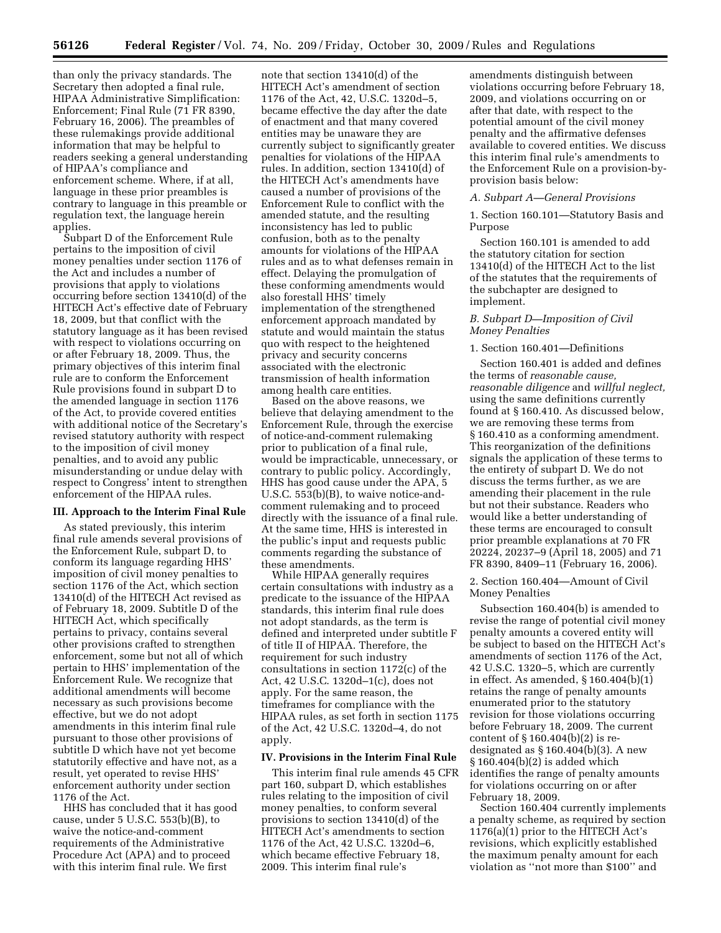than only the privacy standards. The Secretary then adopted a final rule, HIPAA Administrative Simplification: Enforcement; Final Rule (71 FR 8390, February 16, 2006). The preambles of these rulemakings provide additional information that may be helpful to readers seeking a general understanding of HIPAA's compliance and enforcement scheme. Where, if at all, language in these prior preambles is contrary to language in this preamble or regulation text, the language herein applies.

Subpart D of the Enforcement Rule pertains to the imposition of civil money penalties under section 1176 of the Act and includes a number of provisions that apply to violations occurring before section 13410(d) of the HITECH Act's effective date of February 18, 2009, but that conflict with the statutory language as it has been revised with respect to violations occurring on or after February 18, 2009. Thus, the primary objectives of this interim final rule are to conform the Enforcement Rule provisions found in subpart D to the amended language in section 1176 of the Act, to provide covered entities with additional notice of the Secretary's revised statutory authority with respect to the imposition of civil money penalties, and to avoid any public misunderstanding or undue delay with respect to Congress' intent to strengthen enforcement of the HIPAA rules.

#### **III. Approach to the Interim Final Rule**

As stated previously, this interim final rule amends several provisions of the Enforcement Rule, subpart D, to conform its language regarding HHS' imposition of civil money penalties to section 1176 of the Act, which section 13410(d) of the HITECH Act revised as of February 18, 2009. Subtitle D of the HITECH Act, which specifically pertains to privacy, contains several other provisions crafted to strengthen enforcement, some but not all of which pertain to HHS' implementation of the Enforcement Rule. We recognize that additional amendments will become necessary as such provisions become effective, but we do not adopt amendments in this interim final rule pursuant to those other provisions of subtitle D which have not yet become statutorily effective and have not, as a result, yet operated to revise HHS' enforcement authority under section 1176 of the Act.

HHS has concluded that it has good cause, under 5 U.S.C. 553(b)(B), to waive the notice-and-comment requirements of the Administrative Procedure Act (APA) and to proceed with this interim final rule. We first

note that section 13410(d) of the HITECH Act's amendment of section 1176 of the Act, 42, U.S.C. 1320d–5, became effective the day after the date of enactment and that many covered entities may be unaware they are currently subject to significantly greater penalties for violations of the HIPAA rules. In addition, section 13410(d) of the HITECH Act's amendments have caused a number of provisions of the Enforcement Rule to conflict with the amended statute, and the resulting inconsistency has led to public confusion, both as to the penalty amounts for violations of the HIPAA rules and as to what defenses remain in effect. Delaying the promulgation of these conforming amendments would also forestall HHS' timely implementation of the strengthened enforcement approach mandated by statute and would maintain the status quo with respect to the heightened privacy and security concerns associated with the electronic transmission of health information among health care entities.

Based on the above reasons, we believe that delaying amendment to the Enforcement Rule, through the exercise of notice-and-comment rulemaking prior to publication of a final rule, would be impracticable, unnecessary, or contrary to public policy. Accordingly, HHS has good cause under the APA, 5 U.S.C. 553(b)(B), to waive notice-andcomment rulemaking and to proceed directly with the issuance of a final rule. At the same time, HHS is interested in the public's input and requests public comments regarding the substance of these amendments.

While HIPAA generally requires certain consultations with industry as a predicate to the issuance of the HIPAA standards, this interim final rule does not adopt standards, as the term is defined and interpreted under subtitle F of title II of HIPAA. Therefore, the requirement for such industry consultations in section 1172(c) of the Act, 42 U.S.C. 1320d–1(c), does not apply. For the same reason, the timeframes for compliance with the HIPAA rules, as set forth in section 1175 of the Act, 42 U.S.C. 1320d–4, do not apply.

### **IV. Provisions in the Interim Final Rule**

This interim final rule amends 45 CFR part 160, subpart D, which establishes rules relating to the imposition of civil money penalties, to conform several provisions to section 13410(d) of the HITECH Act's amendments to section 1176 of the Act, 42 U.S.C. 1320d–6, which became effective February 18, 2009. This interim final rule's

amendments distinguish between violations occurring before February 18, 2009, and violations occurring on or after that date, with respect to the potential amount of the civil money penalty and the affirmative defenses available to covered entities. We discuss this interim final rule's amendments to the Enforcement Rule on a provision-byprovision basis below:

#### *A. Subpart A—General Provisions*

1. Section 160.101—Statutory Basis and Purpose

Section 160.101 is amended to add the statutory citation for section 13410(d) of the HITECH Act to the list of the statutes that the requirements of the subchapter are designed to implement.

### *B. Subpart D—Imposition of Civil Money Penalties*

#### 1. Section 160.401—Definitions

Section 160.401 is added and defines the terms of *reasonable cause, reasonable diligence* and *willful neglect,*  using the same definitions currently found at § 160.410. As discussed below, we are removing these terms from § 160.410 as a conforming amendment. This reorganization of the definitions signals the application of these terms to the entirety of subpart D. We do not discuss the terms further, as we are amending their placement in the rule but not their substance. Readers who would like a better understanding of these terms are encouraged to consult prior preamble explanations at 70 FR 20224, 20237–9 (April 18, 2005) and 71 FR 8390, 8409–11 (February 16, 2006).

## 2. Section 160.404—Amount of Civil Money Penalties

Subsection 160.404(b) is amended to revise the range of potential civil money penalty amounts a covered entity will be subject to based on the HITECH Act's amendments of section 1176 of the Act, 42 U.S.C. 1320–5, which are currently in effect. As amended, § 160.404(b)(1) retains the range of penalty amounts enumerated prior to the statutory revision for those violations occurring before February 18, 2009. The current content of § 160.404(b)(2) is redesignated as § 160.404(b)(3). A new § 160.404(b)(2) is added which identifies the range of penalty amounts for violations occurring on or after February 18, 2009.

Section 160.404 currently implements a penalty scheme, as required by section 1176(a)(1) prior to the HITECH Act's revisions, which explicitly established the maximum penalty amount for each violation as ''not more than \$100'' and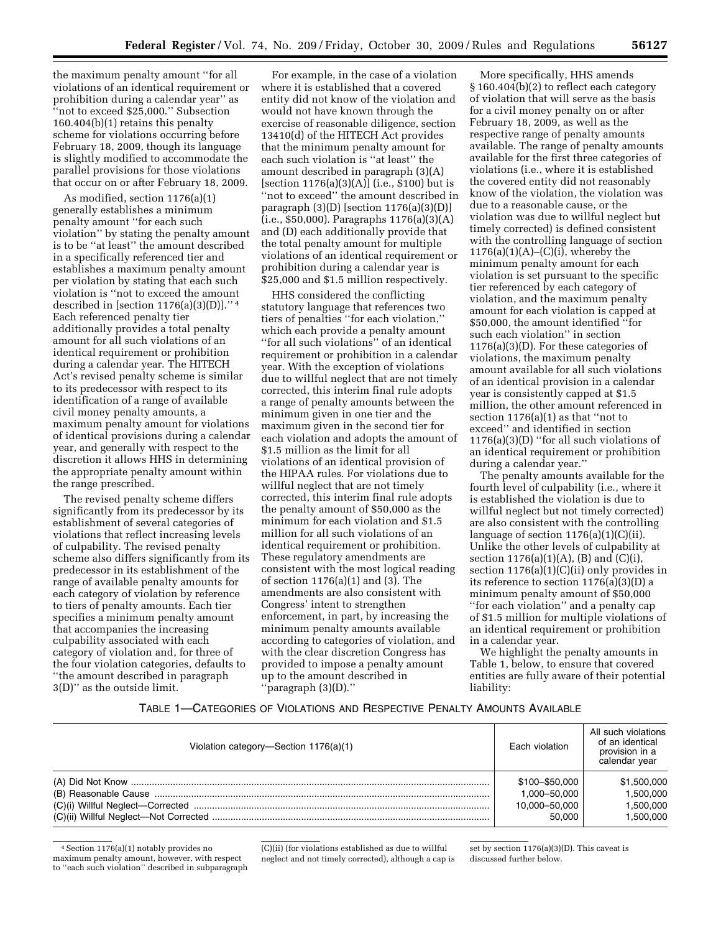the maximum penalty amount ''for all violations of an identical requirement or prohibition during a calendar year'' as ''not to exceed \$25,000.'' Subsection 160.404(b)(1) retains this penalty scheme for violations occurring before February 18, 2009, though its language is slightly modified to accommodate the parallel provisions for those violations that occur on or after February 18, 2009.

As modified, section 1176(a)(1) generally establishes a minimum penalty amount ''for each such violation'' by stating the penalty amount is to be ''at least'' the amount described in a specifically referenced tier and establishes a maximum penalty amount per violation by stating that each such violation is ''not to exceed the amount described in [section  $1176(a)(3)(D)$ ]."<sup>4</sup> Each referenced penalty tier additionally provides a total penalty amount for all such violations of an identical requirement or prohibition during a calendar year. The HITECH Act's revised penalty scheme is similar to its predecessor with respect to its identification of a range of available civil money penalty amounts, a maximum penalty amount for violations of identical provisions during a calendar year, and generally with respect to the discretion it allows HHS in determining the appropriate penalty amount within the range prescribed.

The revised penalty scheme differs significantly from its predecessor by its establishment of several categories of violations that reflect increasing levels of culpability. The revised penalty scheme also differs significantly from its predecessor in its establishment of the range of available penalty amounts for each category of violation by reference to tiers of penalty amounts. Each tier specifies a minimum penalty amount that accompanies the increasing culpability associated with each category of violation and, for three of the four violation categories, defaults to ''the amount described in paragraph 3(D)'' as the outside limit.

For example, in the case of a violation where it is established that a covered entity did not know of the violation and would not have known through the exercise of reasonable diligence, section 13410(d) of the HITECH Act provides that the minimum penalty amount for each such violation is ''at least'' the amount described in paragraph (3)(A) [section 1176(a)(3)(A)] (i.e., \$100) but is ''not to exceed'' the amount described in paragraph  $(3)(D)$  [section 1176(a)(3)(D)] (i.e., \$50,000). Paragraphs 1176(a)(3)(A) and (D) each additionally provide that the total penalty amount for multiple violations of an identical requirement or prohibition during a calendar year is \$25,000 and \$1.5 million respectively.

HHS considered the conflicting statutory language that references two tiers of penalties ''for each violation,'' which each provide a penalty amount ''for all such violations'' of an identical requirement or prohibition in a calendar year. With the exception of violations due to willful neglect that are not timely corrected, this interim final rule adopts a range of penalty amounts between the minimum given in one tier and the maximum given in the second tier for each violation and adopts the amount of \$1.5 million as the limit for all violations of an identical provision of the HIPAA rules. For violations due to willful neglect that are not timely corrected, this interim final rule adopts the penalty amount of \$50,000 as the minimum for each violation and \$1.5 million for all such violations of an identical requirement or prohibition. These regulatory amendments are consistent with the most logical reading of section 1176(a)(1) and (3). The amendments are also consistent with Congress' intent to strengthen enforcement, in part, by increasing the minimum penalty amounts available according to categories of violation, and with the clear discretion Congress has provided to impose a penalty amount up to the amount described in ''paragraph (3)(D).''

More specifically, HHS amends § 160.404(b)(2) to reflect each category of violation that will serve as the basis for a civil money penalty on or after February 18, 2009, as well as the respective range of penalty amounts available. The range of penalty amounts available for the first three categories of violations (i.e., where it is established the covered entity did not reasonably know of the violation, the violation was due to a reasonable cause, or the violation was due to willful neglect but timely corrected) is defined consistent with the controlling language of section  $1176(a)(1)(A)$ –(C)(i), whereby the minimum penalty amount for each violation is set pursuant to the specific tier referenced by each category of violation, and the maximum penalty amount for each violation is capped at \$50,000, the amount identified ''for such each violation'' in section 1176(a)(3)(D). For these categories of violations, the maximum penalty amount available for all such violations of an identical provision in a calendar year is consistently capped at \$1.5 million, the other amount referenced in section 1176(a)(1) as that ''not to exceed'' and identified in section 1176(a)(3)(D) ''for all such violations of an identical requirement or prohibition during a calendar year.''

The penalty amounts available for the fourth level of culpability (i.e., where it is established the violation is due to willful neglect but not timely corrected) are also consistent with the controlling language of section  $1176(a)(1)(C)(ii)$ . Unlike the other levels of culpability at section  $1176(a)(1)(A)$ , (B) and (C)(i), section 1176(a)(1)(C)(ii) only provides in its reference to section  $1176(a)(3)(D)$  a minimum penalty amount of \$50,000 ''for each violation'' and a penalty cap of \$1.5 million for multiple violations of an identical requirement or prohibition in a calendar year.

We highlight the penalty amounts in Table 1, below, to ensure that covered entities are fully aware of their potential liability:

# TABLE 1—CATEGORIES OF VIOLATIONS AND RESPECTIVE PENALTY AMOUNTS AVAILABLE

| Violation category-Section 1176(a)(1) | Each violation | All such violations<br>of an identical<br>provision in a<br>calendar year |
|---------------------------------------|----------------|---------------------------------------------------------------------------|
|                                       | \$100-\$50,000 | \$1,500,000                                                               |
|                                       | 1.000-50.000   | 1,500,000                                                                 |
|                                       | 10,000-50,000  | 1.500.000                                                                 |
|                                       | 50.000         | 1.500.000                                                                 |

4Section 1176(a)(1) notably provides no maximum penalty amount, however, with respect to ''each such violation'' described in subparagraph (C)(ii) (for violations established as due to willful neglect and not timely corrected), although a cap is

set by section 1176(a)(3)(D). This caveat is discussed further below.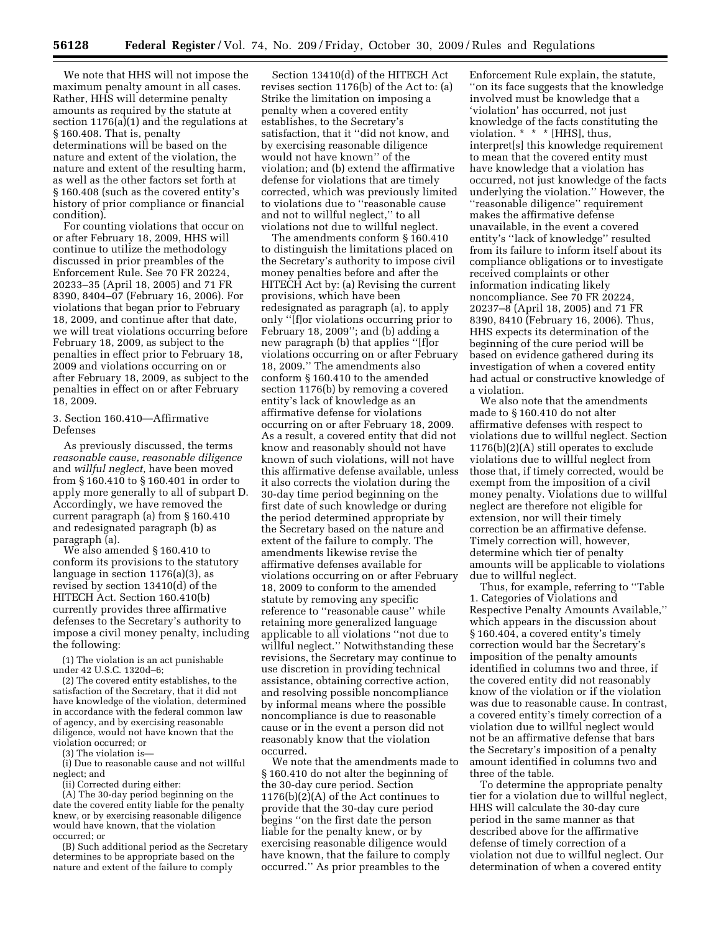We note that HHS will not impose the maximum penalty amount in all cases. Rather, HHS will determine penalty amounts as required by the statute at section 1176(a)(1) and the regulations at § 160.408. That is, penalty determinations will be based on the nature and extent of the violation, the nature and extent of the resulting harm, as well as the other factors set forth at § 160.408 (such as the covered entity's history of prior compliance or financial condition).

For counting violations that occur on or after February 18, 2009, HHS will continue to utilize the methodology discussed in prior preambles of the Enforcement Rule. See 70 FR 20224, 20233–35 (April 18, 2005) and 71 FR 8390, 8404–07 (February 16, 2006). For violations that began prior to February 18, 2009, and continue after that date, we will treat violations occurring before February 18, 2009, as subject to the penalties in effect prior to February 18, 2009 and violations occurring on or after February 18, 2009, as subject to the penalties in effect on or after February 18, 2009.

## 3. Section 160.410—Affirmative Defenses

As previously discussed, the terms *reasonable cause, reasonable diligence*  and *willful neglect,* have been moved from § 160.410 to § 160.401 in order to apply more generally to all of subpart D. Accordingly, we have removed the current paragraph (a) from § 160.410 and redesignated paragraph (b) as paragraph (a).

We also amended § 160.410 to conform its provisions to the statutory language in section 1176(a)(3), as revised by section 13410(d) of the HITECH Act. Section 160.410(b) currently provides three affirmative defenses to the Secretary's authority to impose a civil money penalty, including the following:

(1) The violation is an act punishable under 42 U.S.C. 1320d–6;

(2) The covered entity establishes, to the satisfaction of the Secretary, that it did not have knowledge of the violation, determined in accordance with the federal common law of agency, and by exercising reasonable diligence, would not have known that the violation occurred; or

(3) The violation is—

(i) Due to reasonable cause and not willful neglect; and

(ii) Corrected during either:

(A) The 30-day period beginning on the date the covered entity liable for the penalty knew, or by exercising reasonable diligence would have known, that the violation occurred; or

(B) Such additional period as the Secretary determines to be appropriate based on the nature and extent of the failure to comply

Section 13410(d) of the HITECH Act revises section 1176(b) of the Act to: (a) Strike the limitation on imposing a penalty when a covered entity establishes, to the Secretary's satisfaction, that it ''did not know, and by exercising reasonable diligence would not have known'' of the violation; and (b) extend the affirmative defense for violations that are timely corrected, which was previously limited to violations due to ''reasonable cause and not to willful neglect,'' to all violations not due to willful neglect.

The amendments conform § 160.410 to distinguish the limitations placed on the Secretary's authority to impose civil money penalties before and after the HITECH Act by: (a) Revising the current provisions, which have been redesignated as paragraph (a), to apply only ''[f]or violations occurring prior to February 18, 2009''; and (b) adding a new paragraph (b) that applies ''[f]or violations occurring on or after February 18, 2009.'' The amendments also conform § 160.410 to the amended section 1176(b) by removing a covered entity's lack of knowledge as an affirmative defense for violations occurring on or after February 18, 2009. As a result, a covered entity that did not know and reasonably should not have known of such violations, will not have this affirmative defense available, unless it also corrects the violation during the 30-day time period beginning on the first date of such knowledge or during the period determined appropriate by the Secretary based on the nature and extent of the failure to comply. The amendments likewise revise the affirmative defenses available for violations occurring on or after February 18, 2009 to conform to the amended statute by removing any specific reference to ''reasonable cause'' while retaining more generalized language applicable to all violations ''not due to willful neglect.'' Notwithstanding these revisions, the Secretary may continue to use discretion in providing technical assistance, obtaining corrective action, and resolving possible noncompliance by informal means where the possible noncompliance is due to reasonable cause or in the event a person did not reasonably know that the violation occurred.

We note that the amendments made to § 160.410 do not alter the beginning of the 30-day cure period. Section  $1176(b)(2)(A)$  of the Act continues to provide that the 30-day cure period begins ''on the first date the person liable for the penalty knew, or by exercising reasonable diligence would have known, that the failure to comply occurred.'' As prior preambles to the

Enforcement Rule explain, the statute, ''on its face suggests that the knowledge involved must be knowledge that a 'violation' has occurred, not just knowledge of the facts constituting the violation. \* \* \* [HHS], thus, interpret[s] this knowledge requirement to mean that the covered entity must have knowledge that a violation has occurred, not just knowledge of the facts underlying the violation.'' However, the ''reasonable diligence'' requirement makes the affirmative defense unavailable, in the event a covered entity's ''lack of knowledge'' resulted from its failure to inform itself about its compliance obligations or to investigate received complaints or other information indicating likely noncompliance. See 70 FR 20224, 20237–8 (April 18, 2005) and 71 FR 8390, 8410 (February 16, 2006). Thus, HHS expects its determination of the beginning of the cure period will be based on evidence gathered during its investigation of when a covered entity had actual or constructive knowledge of a violation.

We also note that the amendments made to § 160.410 do not alter affirmative defenses with respect to violations due to willful neglect. Section 1176(b)(2)(A) still operates to exclude violations due to willful neglect from those that, if timely corrected, would be exempt from the imposition of a civil money penalty. Violations due to willful neglect are therefore not eligible for extension, nor will their timely correction be an affirmative defense. Timely correction will, however, determine which tier of penalty amounts will be applicable to violations due to willful neglect.

Thus, for example, referring to ''Table 1. Categories of Violations and Respective Penalty Amounts Available,'' which appears in the discussion about § 160.404, a covered entity's timely correction would bar the Secretary's imposition of the penalty amounts identified in columns two and three, if the covered entity did not reasonably know of the violation or if the violation was due to reasonable cause. In contrast, a covered entity's timely correction of a violation due to willful neglect would not be an affirmative defense that bars the Secretary's imposition of a penalty amount identified in columns two and three of the table.

To determine the appropriate penalty tier for a violation due to willful neglect, HHS will calculate the 30-day cure period in the same manner as that described above for the affirmative defense of timely correction of a violation not due to willful neglect. Our determination of when a covered entity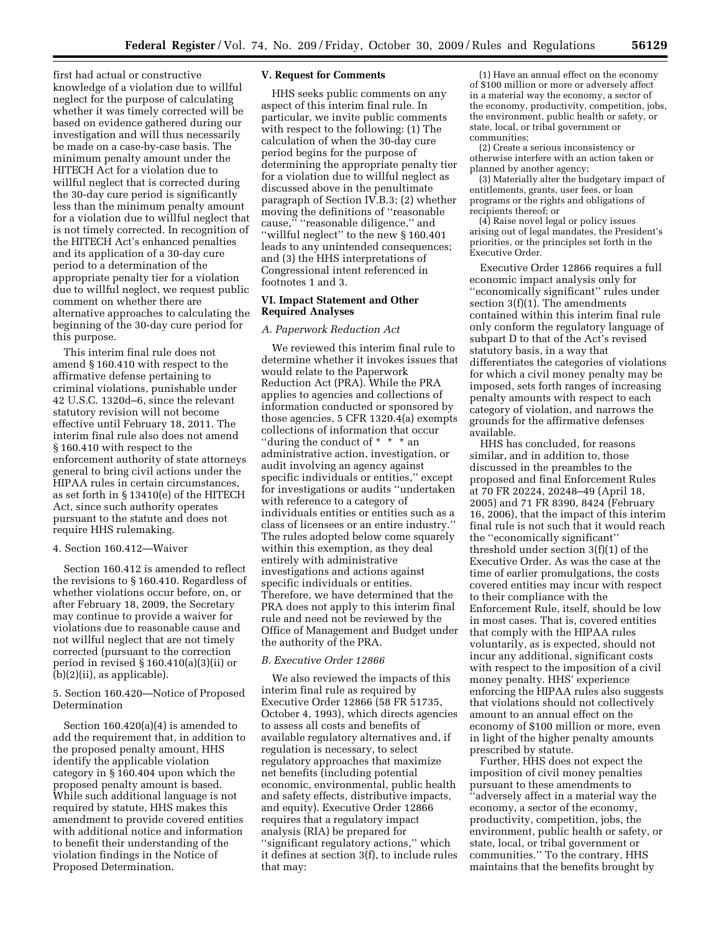first had actual or constructive knowledge of a violation due to willful neglect for the purpose of calculating whether it was timely corrected will be based on evidence gathered during our investigation and will thus necessarily be made on a case-by-case basis. The minimum penalty amount under the HITECH Act for a violation due to willful neglect that is corrected during the 30-day cure period is significantly less than the minimum penalty amount for a violation due to willful neglect that is not timely corrected. In recognition of the HITECH Act's enhanced penalties and its application of a 30-day cure period to a determination of the appropriate penalty tier for a violation due to willful neglect, we request public comment on whether there are alternative approaches to calculating the beginning of the 30-day cure period for this purpose.

This interim final rule does not amend § 160.410 with respect to the affirmative defense pertaining to criminal violations, punishable under 42 U.S.C. 1320d–6, since the relevant statutory revision will not become effective until February 18, 2011. The interim final rule also does not amend § 160.410 with respect to the enforcement authority of state attorneys general to bring civil actions under the HIPAA rules in certain circumstances, as set forth in § 13410(e) of the HITECH Act, since such authority operates pursuant to the statute and does not require HHS rulemaking.

## 4. Section 160.412—Waiver

Section 160.412 is amended to reflect the revisions to § 160.410. Regardless of whether violations occur before, on, or after February 18, 2009, the Secretary may continue to provide a waiver for violations due to reasonable cause and not willful neglect that are not timely corrected (pursuant to the correction period in revised § 160.410(a)(3)(ii) or (b)(2)(ii), as applicable).

# 5. Section 160.420—Notice of Proposed Determination

Section 160.420(a)(4) is amended to add the requirement that, in addition to the proposed penalty amount, HHS identify the applicable violation category in § 160.404 upon which the proposed penalty amount is based. While such additional language is not required by statute, HHS makes this amendment to provide covered entities with additional notice and information to benefit their understanding of the violation findings in the Notice of Proposed Determination.

### **V. Request for Comments**

HHS seeks public comments on any aspect of this interim final rule. In particular, we invite public comments with respect to the following: (1) The calculation of when the 30-day cure period begins for the purpose of determining the appropriate penalty tier for a violation due to willful neglect as discussed above in the penultimate paragraph of Section IV.B.3; (2) whether moving the definitions of ''reasonable cause," "reasonable diligence," and ''willful neglect'' to the new § 160.401 leads to any unintended consequences; and (3) the HHS interpretations of Congressional intent referenced in footnotes 1 and 3.

### **VI. Impact Statement and Other Required Analyses**

## *A. Paperwork Reduction Act*

We reviewed this interim final rule to determine whether it invokes issues that would relate to the Paperwork Reduction Act (PRA). While the PRA applies to agencies and collections of information conducted or sponsored by those agencies, 5 CFR 1320.4(a) exempts collections of information that occur ''during the conduct of \* \* \* an administrative action, investigation, or audit involving an agency against specific individuals or entities,'' except for investigations or audits ''undertaken with reference to a category of individuals entities or entities such as a class of licensees or an entire industry.'' The rules adopted below come squarely within this exemption, as they deal entirely with administrative investigations and actions against specific individuals or entities. Therefore, we have determined that the PRA does not apply to this interim final rule and need not be reviewed by the Office of Management and Budget under the authority of the PRA.

# *B. Executive Order 12866*

We also reviewed the impacts of this interim final rule as required by Executive Order 12866 (58 FR 51735, October 4, 1993), which directs agencies to assess all costs and benefits of available regulatory alternatives and, if regulation is necessary, to select regulatory approaches that maximize net benefits (including potential economic, environmental, public health and safety effects, distributive impacts, and equity). Executive Order 12866 requires that a regulatory impact analysis (RIA) be prepared for ''significant regulatory actions,'' which it defines at section 3(f), to include rules that may:

(1) Have an annual effect on the economy of \$100 million or more or adversely affect in a material way the economy, a sector of the economy, productivity, competition, jobs, the environment, public health or safety, or state, local, or tribal government or communities;

(2) Create a serious inconsistency or otherwise interfere with an action taken or planned by another agency;

(3) Materially alter the budgetary impact of entitlements, grants, user fees, or loan programs or the rights and obligations of recipients thereof; or

(4) Raise novel legal or policy issues arising out of legal mandates, the President's priorities, or the principles set forth in the Executive Order.

Executive Order 12866 requires a full economic impact analysis only for ''economically significant'' rules under section 3(f)(1). The amendments contained within this interim final rule only conform the regulatory language of subpart D to that of the Act's revised statutory basis, in a way that differentiates the categories of violations for which a civil money penalty may be imposed, sets forth ranges of increasing penalty amounts with respect to each category of violation, and narrows the grounds for the affirmative defenses available.

HHS has concluded, for reasons similar, and in addition to, those discussed in the preambles to the proposed and final Enforcement Rules at 70 FR 20224, 20248–49 (April 18, 2005) and 71 FR 8390, 8424 (February 16, 2006), that the impact of this interim final rule is not such that it would reach the ''economically significant'' threshold under section 3(f)(1) of the Executive Order. As was the case at the time of earlier promulgations, the costs covered entities may incur with respect to their compliance with the Enforcement Rule, itself, should be low in most cases. That is, covered entities that comply with the HIPAA rules voluntarily, as is expected, should not incur any additional, significant costs with respect to the imposition of a civil money penalty. HHS' experience enforcing the HIPAA rules also suggests that violations should not collectively amount to an annual effect on the economy of \$100 million or more, even in light of the higher penalty amounts prescribed by statute.

Further, HHS does not expect the imposition of civil money penalties pursuant to these amendments to ''adversely affect in a material way the economy, a sector of the economy, productivity, competition, jobs, the environment, public health or safety, or state, local, or tribal government or communities.'' To the contrary, HHS maintains that the benefits brought by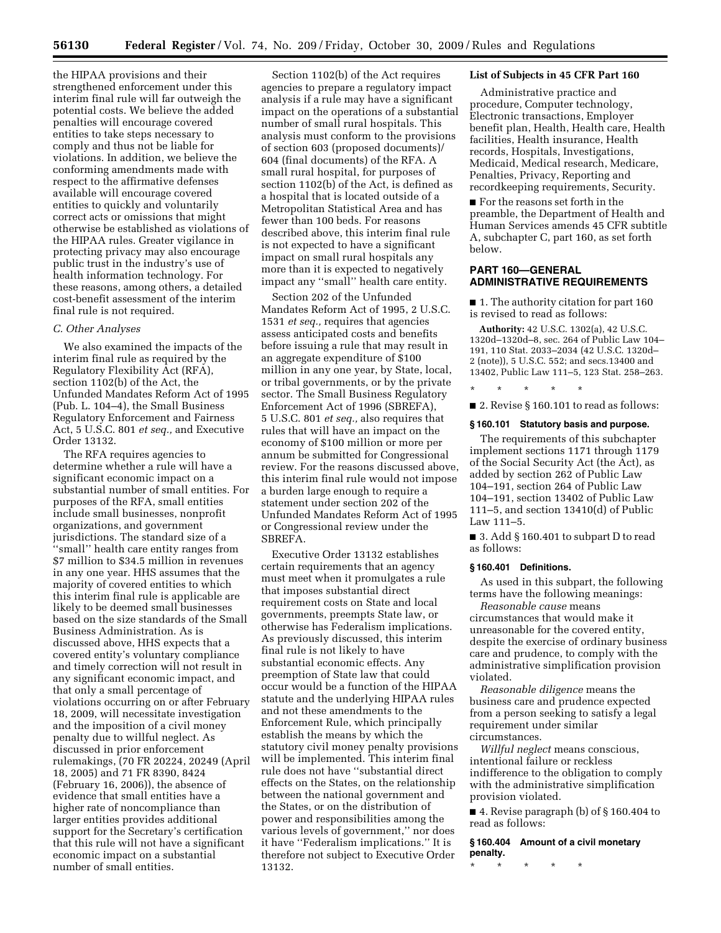the HIPAA provisions and their strengthened enforcement under this interim final rule will far outweigh the potential costs. We believe the added penalties will encourage covered entities to take steps necessary to comply and thus not be liable for violations. In addition, we believe the conforming amendments made with respect to the affirmative defenses available will encourage covered entities to quickly and voluntarily correct acts or omissions that might otherwise be established as violations of the HIPAA rules. Greater vigilance in protecting privacy may also encourage public trust in the industry's use of health information technology. For these reasons, among others, a detailed cost-benefit assessment of the interim final rule is not required.

### *C. Other Analyses*

We also examined the impacts of the interim final rule as required by the Regulatory Flexibility Act (RFA), section 1102(b) of the Act, the Unfunded Mandates Reform Act of 1995 (Pub. L. 104–4), the Small Business Regulatory Enforcement and Fairness Act, 5 U.S.C. 801 *et seq.,* and Executive Order 13132.

The RFA requires agencies to determine whether a rule will have a significant economic impact on a substantial number of small entities. For purposes of the RFA, small entities include small businesses, nonprofit organizations, and government jurisdictions. The standard size of a ''small'' health care entity ranges from \$7 million to \$34.5 million in revenues in any one year. HHS assumes that the majority of covered entities to which this interim final rule is applicable are likely to be deemed small businesses based on the size standards of the Small Business Administration. As is discussed above, HHS expects that a covered entity's voluntary compliance and timely correction will not result in any significant economic impact, and that only a small percentage of violations occurring on or after February 18, 2009, will necessitate investigation and the imposition of a civil money penalty due to willful neglect. As discussed in prior enforcement rulemakings, (70 FR 20224, 20249 (April 18, 2005) and 71 FR 8390, 8424 (February 16, 2006)), the absence of evidence that small entities have a higher rate of noncompliance than larger entities provides additional support for the Secretary's certification that this rule will not have a significant economic impact on a substantial number of small entities.

Section 1102(b) of the Act requires agencies to prepare a regulatory impact analysis if a rule may have a significant impact on the operations of a substantial number of small rural hospitals. This analysis must conform to the provisions of section 603 (proposed documents)/ 604 (final documents) of the RFA. A small rural hospital, for purposes of section 1102(b) of the Act, is defined as a hospital that is located outside of a Metropolitan Statistical Area and has fewer than 100 beds. For reasons described above, this interim final rule is not expected to have a significant impact on small rural hospitals any more than it is expected to negatively impact any ''small'' health care entity.

Section 202 of the Unfunded Mandates Reform Act of 1995, 2 U.S.C. 1531 *et seq.,* requires that agencies assess anticipated costs and benefits before issuing a rule that may result in an aggregate expenditure of \$100 million in any one year, by State, local, or tribal governments, or by the private sector. The Small Business Regulatory Enforcement Act of 1996 (SBREFA), 5 U.S.C. 801 *et seq.,* also requires that rules that will have an impact on the economy of \$100 million or more per annum be submitted for Congressional review. For the reasons discussed above, this interim final rule would not impose a burden large enough to require a statement under section 202 of the Unfunded Mandates Reform Act of 1995 or Congressional review under the SBREFA.

Executive Order 13132 establishes certain requirements that an agency must meet when it promulgates a rule that imposes substantial direct requirement costs on State and local governments, preempts State law, or otherwise has Federalism implications. As previously discussed, this interim final rule is not likely to have substantial economic effects. Any preemption of State law that could occur would be a function of the HIPAA statute and the underlying HIPAA rules and not these amendments to the Enforcement Rule, which principally establish the means by which the statutory civil money penalty provisions will be implemented. This interim final rule does not have ''substantial direct effects on the States, on the relationship between the national government and the States, or on the distribution of power and responsibilities among the various levels of government,'' nor does it have ''Federalism implications.'' It is therefore not subject to Executive Order 13132.

### **List of Subjects in 45 CFR Part 160**

Administrative practice and procedure, Computer technology, Electronic transactions, Employer benefit plan, Health, Health care, Health facilities, Health insurance, Health records, Hospitals, Investigations, Medicaid, Medical research, Medicare, Penalties, Privacy, Reporting and recordkeeping requirements, Security.

■ For the reasons set forth in the preamble, the Department of Health and Human Services amends 45 CFR subtitle A, subchapter C, part 160, as set forth below.

# **PART 160—GENERAL ADMINISTRATIVE REQUIREMENTS**

■ 1. The authority citation for part 160 is revised to read as follows:

**Authority:** 42 U.S.C. 1302(a), 42 U.S.C. 1320d–1320d–8, sec. 264 of Public Law 104– 191, 110 Stat. 2033–2034 (42 U.S.C. 1320d– 2 (note)), 5 U.S.C. 552; and secs.13400 and 13402, Public Law 111–5, 123 Stat. 258–263.

■ 2. Revise § 160.101 to read as follows:

\* \* \* \* \*

#### **§ 160.101 Statutory basis and purpose.**

The requirements of this subchapter implement sections 1171 through 1179 of the Social Security Act (the Act), as added by section 262 of Public Law 104–191, section 264 of Public Law 104–191, section 13402 of Public Law 111–5, and section 13410(d) of Public Law 111–5.

■ 3. Add § 160.401 to subpart D to read as follows:

#### **§ 160.401 Definitions.**

As used in this subpart, the following terms have the following meanings:

*Reasonable cause* means circumstances that would make it unreasonable for the covered entity, despite the exercise of ordinary business care and prudence, to comply with the administrative simplification provision violated.

*Reasonable diligence* means the business care and prudence expected from a person seeking to satisfy a legal requirement under similar circumstances.

*Willful neglect* means conscious, intentional failure or reckless indifference to the obligation to comply with the administrative simplification provision violated.

■ 4. Revise paragraph (b) of § 160.404 to read as follows:

**§ 160.404 Amount of a civil monetary penalty.** 

\* \* \* \* \*